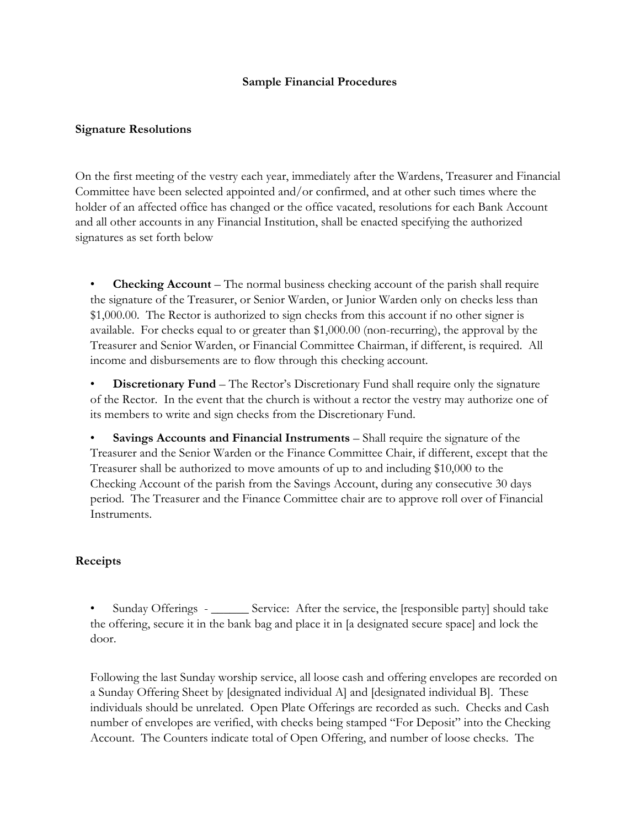## **Sample Financial Procedures**

## **Signature Resolutions**

On the first meeting of the vestry each year, immediately after the Wardens, Treasurer and Financial Committee have been selected appointed and/or confirmed, and at other such times where the holder of an affected office has changed or the office vacated, resolutions for each Bank Account and all other accounts in any Financial Institution, shall be enacted specifying the authorized signatures as set forth below

**Checking Account** – The normal business checking account of the parish shall require the signature of the Treasurer, or Senior Warden, or Junior Warden only on checks less than \$1,000.00. The Rector is authorized to sign checks from this account if no other signer is available. For checks equal to or greater than \$1,000.00 (non-recurring), the approval by the Treasurer and Senior Warden, or Financial Committee Chairman, if different, is required. All income and disbursements are to flow through this checking account.

**Discretionary Fund** – The Rector's Discretionary Fund shall require only the signature of the Rector. In the event that the church is without a rector the vestry may authorize one of its members to write and sign checks from the Discretionary Fund.

• **Savings Accounts and Financial Instruments** – Shall require the signature of the Treasurer and the Senior Warden or the Finance Committee Chair, if different, except that the Treasurer shall be authorized to move amounts of up to and including \$10,000 to the Checking Account of the parish from the Savings Account, during any consecutive 30 days period. The Treasurer and the Finance Committee chair are to approve roll over of Financial Instruments.

#### **Receipts**

• Sunday Offerings - \_\_\_\_\_\_ Service: After the service, the [responsible party] should take the offering, secure it in the bank bag and place it in [a designated secure space] and lock the door.

Following the last Sunday worship service, all loose cash and offering envelopes are recorded on a Sunday Offering Sheet by [designated individual A] and [designated individual B]. These individuals should be unrelated. Open Plate Offerings are recorded as such. Checks and Cash number of envelopes are verified, with checks being stamped "For Deposit" into the Checking Account. The Counters indicate total of Open Offering, and number of loose checks. The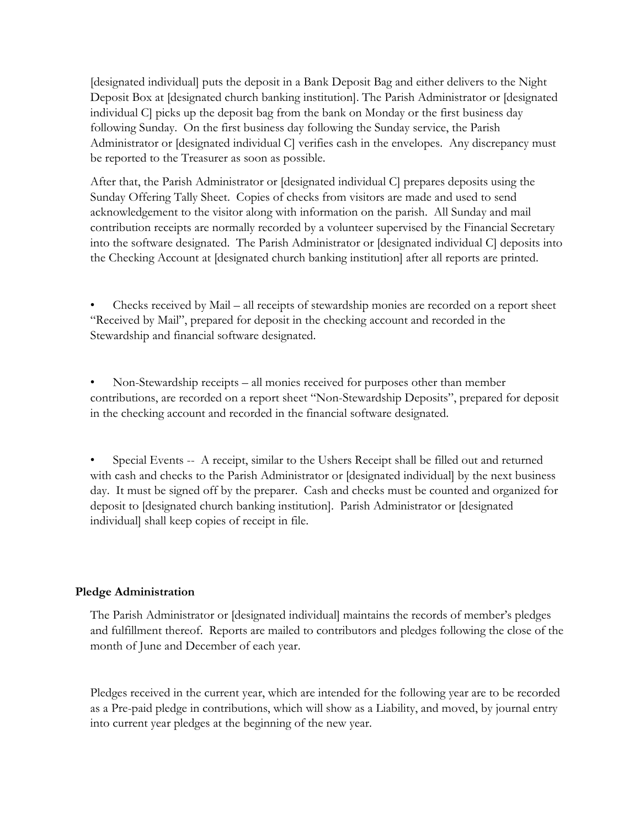[designated individual] puts the deposit in a Bank Deposit Bag and either delivers to the Night Deposit Box at [designated church banking institution]. The Parish Administrator or [designated individual C] picks up the deposit bag from the bank on Monday or the first business day following Sunday. On the first business day following the Sunday service, the Parish Administrator or [designated individual C] verifies cash in the envelopes. Any discrepancy must be reported to the Treasurer as soon as possible.

After that, the Parish Administrator or [designated individual C] prepares deposits using the Sunday Offering Tally Sheet. Copies of checks from visitors are made and used to send acknowledgement to the visitor along with information on the parish. All Sunday and mail contribution receipts are normally recorded by a volunteer supervised by the Financial Secretary into the software designated. The Parish Administrator or [designated individual C] deposits into the Checking Account at [designated church banking institution] after all reports are printed.

• Checks received by Mail – all receipts of stewardship monies are recorded on a report sheet "Received by Mail", prepared for deposit in the checking account and recorded in the Stewardship and financial software designated.

• Non-Stewardship receipts – all monies received for purposes other than member contributions, are recorded on a report sheet "Non-Stewardship Deposits", prepared for deposit in the checking account and recorded in the financial software designated.

Special Events -- A receipt, similar to the Ushers Receipt shall be filled out and returned with cash and checks to the Parish Administrator or [designated individual] by the next business day. It must be signed off by the preparer. Cash and checks must be counted and organized for deposit to [designated church banking institution]. Parish Administrator or [designated individual] shall keep copies of receipt in file.

# **Pledge Administration**

The Parish Administrator or [designated individual] maintains the records of member's pledges and fulfillment thereof. Reports are mailed to contributors and pledges following the close of the month of June and December of each year.

Pledges received in the current year, which are intended for the following year are to be recorded as a Pre-paid pledge in contributions, which will show as a Liability, and moved, by journal entry into current year pledges at the beginning of the new year.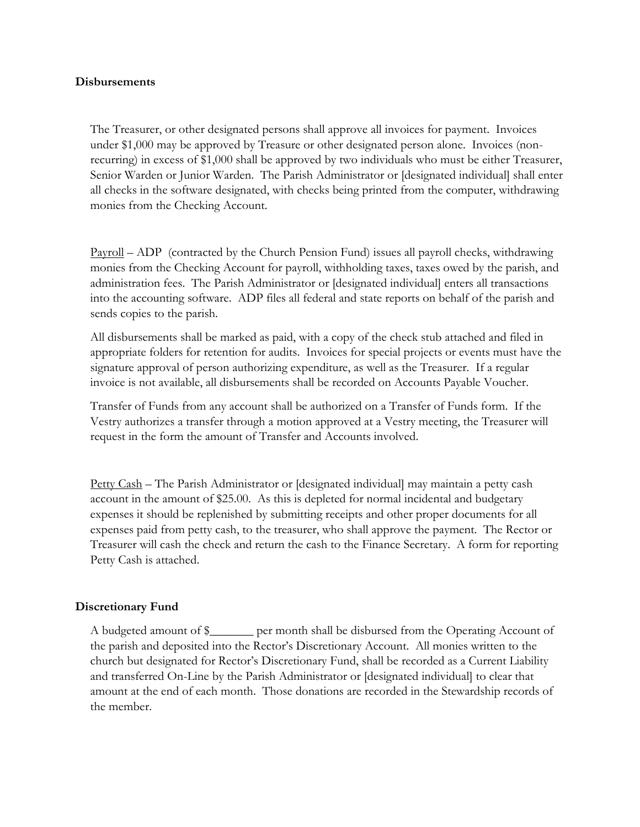#### **Disbursements**

The Treasurer, or other designated persons shall approve all invoices for payment. Invoices under \$1,000 may be approved by Treasure or other designated person alone. Invoices (nonrecurring) in excess of \$1,000 shall be approved by two individuals who must be either Treasurer, Senior Warden or Junior Warden. The Parish Administrator or [designated individual] shall enter all checks in the software designated, with checks being printed from the computer, withdrawing monies from the Checking Account.

Payroll – ADP (contracted by the Church Pension Fund) issues all payroll checks, withdrawing monies from the Checking Account for payroll, withholding taxes, taxes owed by the parish, and administration fees. The Parish Administrator or [designated individual] enters all transactions into the accounting software. ADP files all federal and state reports on behalf of the parish and sends copies to the parish.

All disbursements shall be marked as paid, with a copy of the check stub attached and filed in appropriate folders for retention for audits. Invoices for special projects or events must have the signature approval of person authorizing expenditure, as well as the Treasurer. If a regular invoice is not available, all disbursements shall be recorded on Accounts Payable Voucher.

Transfer of Funds from any account shall be authorized on a Transfer of Funds form. If the Vestry authorizes a transfer through a motion approved at a Vestry meeting, the Treasurer will request in the form the amount of Transfer and Accounts involved.

Petty Cash – The Parish Administrator or [designated individual] may maintain a petty cash account in the amount of \$25.00. As this is depleted for normal incidental and budgetary expenses it should be replenished by submitting receipts and other proper documents for all expenses paid from petty cash, to the treasurer, who shall approve the payment. The Rector or Treasurer will cash the check and return the cash to the Finance Secretary. A form for reporting Petty Cash is attached.

#### **Discretionary Fund**

A budgeted amount of \$\_\_\_\_\_\_\_ per month shall be disbursed from the Operating Account of the parish and deposited into the Rector's Discretionary Account. All monies written to the church but designated for Rector's Discretionary Fund, shall be recorded as a Current Liability and transferred On-Line by the Parish Administrator or [designated individual] to clear that amount at the end of each month. Those donations are recorded in the Stewardship records of the member.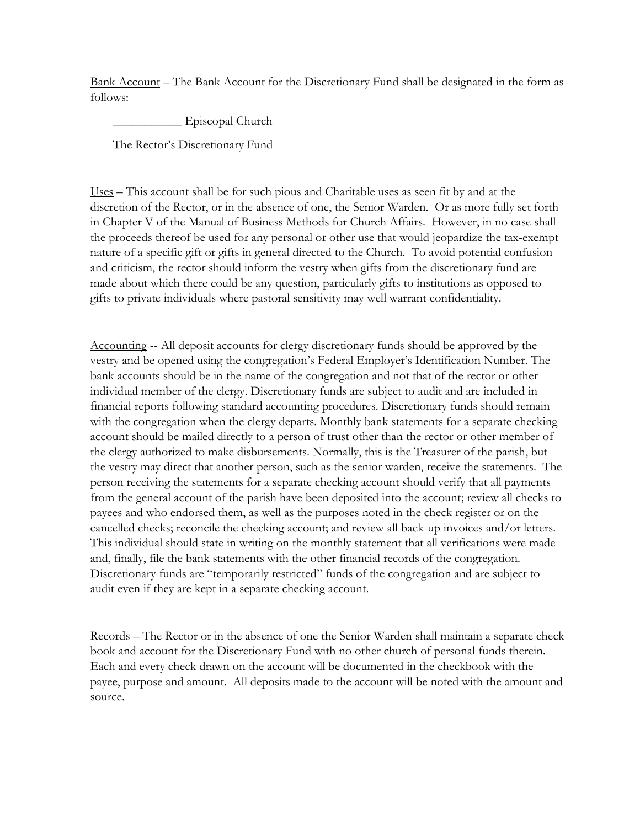Bank Account – The Bank Account for the Discretionary Fund shall be designated in the form as follows:

\_\_\_\_\_\_\_\_\_\_\_ Episcopal Church

The Rector's Discretionary Fund

Uses – This account shall be for such pious and Charitable uses as seen fit by and at the discretion of the Rector, or in the absence of one, the Senior Warden. Or as more fully set forth in Chapter V of the Manual of Business Methods for Church Affairs. However, in no case shall the proceeds thereof be used for any personal or other use that would jeopardize the tax-exempt nature of a specific gift or gifts in general directed to the Church. To avoid potential confusion and criticism, the rector should inform the vestry when gifts from the discretionary fund are made about which there could be any question, particularly gifts to institutions as opposed to gifts to private individuals where pastoral sensitivity may well warrant confidentiality.

Accounting -- All deposit accounts for clergy discretionary funds should be approved by the vestry and be opened using the congregation's Federal Employer's Identification Number. The bank accounts should be in the name of the congregation and not that of the rector or other individual member of the clergy. Discretionary funds are subject to audit and are included in financial reports following standard accounting procedures. Discretionary funds should remain with the congregation when the clergy departs. Monthly bank statements for a separate checking account should be mailed directly to a person of trust other than the rector or other member of the clergy authorized to make disbursements. Normally, this is the Treasurer of the parish, but the vestry may direct that another person, such as the senior warden, receive the statements. The person receiving the statements for a separate checking account should verify that all payments from the general account of the parish have been deposited into the account; review all checks to payees and who endorsed them, as well as the purposes noted in the check register or on the cancelled checks; reconcile the checking account; and review all back-up invoices and/or letters. This individual should state in writing on the monthly statement that all verifications were made and, finally, file the bank statements with the other financial records of the congregation. Discretionary funds are "temporarily restricted" funds of the congregation and are subject to audit even if they are kept in a separate checking account.

Records – The Rector or in the absence of one the Senior Warden shall maintain a separate check book and account for the Discretionary Fund with no other church of personal funds therein. Each and every check drawn on the account will be documented in the checkbook with the payee, purpose and amount. All deposits made to the account will be noted with the amount and source.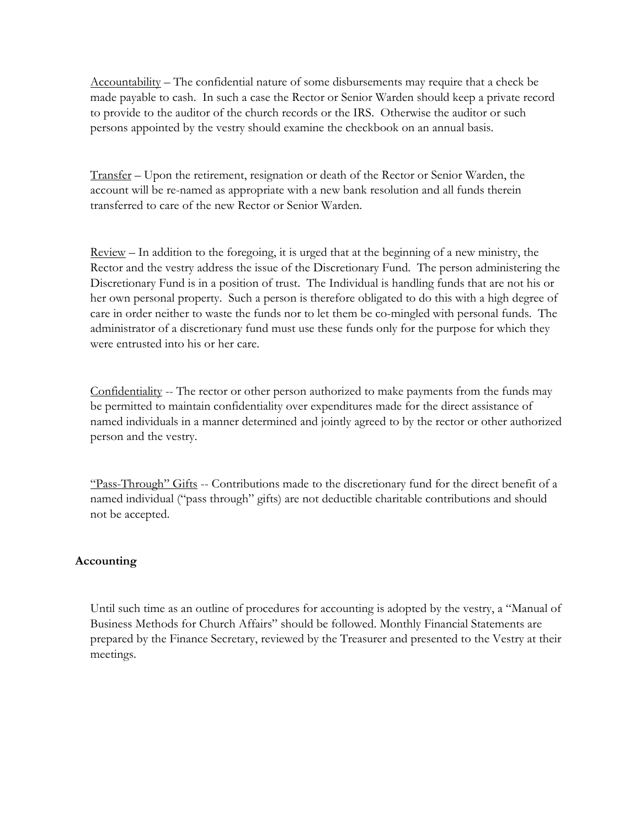Accountability – The confidential nature of some disbursements may require that a check be made payable to cash. In such a case the Rector or Senior Warden should keep a private record to provide to the auditor of the church records or the IRS. Otherwise the auditor or such persons appointed by the vestry should examine the checkbook on an annual basis.

Transfer – Upon the retirement, resignation or death of the Rector or Senior Warden, the account will be re-named as appropriate with a new bank resolution and all funds therein transferred to care of the new Rector or Senior Warden.

Review – In addition to the foregoing, it is urged that at the beginning of a new ministry, the Rector and the vestry address the issue of the Discretionary Fund. The person administering the Discretionary Fund is in a position of trust. The Individual is handling funds that are not his or her own personal property. Such a person is therefore obligated to do this with a high degree of care in order neither to waste the funds nor to let them be co-mingled with personal funds. The administrator of a discretionary fund must use these funds only for the purpose for which they were entrusted into his or her care.

Confidentiality -- The rector or other person authorized to make payments from the funds may be permitted to maintain confidentiality over expenditures made for the direct assistance of named individuals in a manner determined and jointly agreed to by the rector or other authorized person and the vestry.

"Pass-Through" Gifts -- Contributions made to the discretionary fund for the direct benefit of a named individual ("pass through" gifts) are not deductible charitable contributions and should not be accepted.

# **Accounting**

Until such time as an outline of procedures for accounting is adopted by the vestry, a "Manual of Business Methods for Church Affairs" should be followed. Monthly Financial Statements are prepared by the Finance Secretary, reviewed by the Treasurer and presented to the Vestry at their meetings.